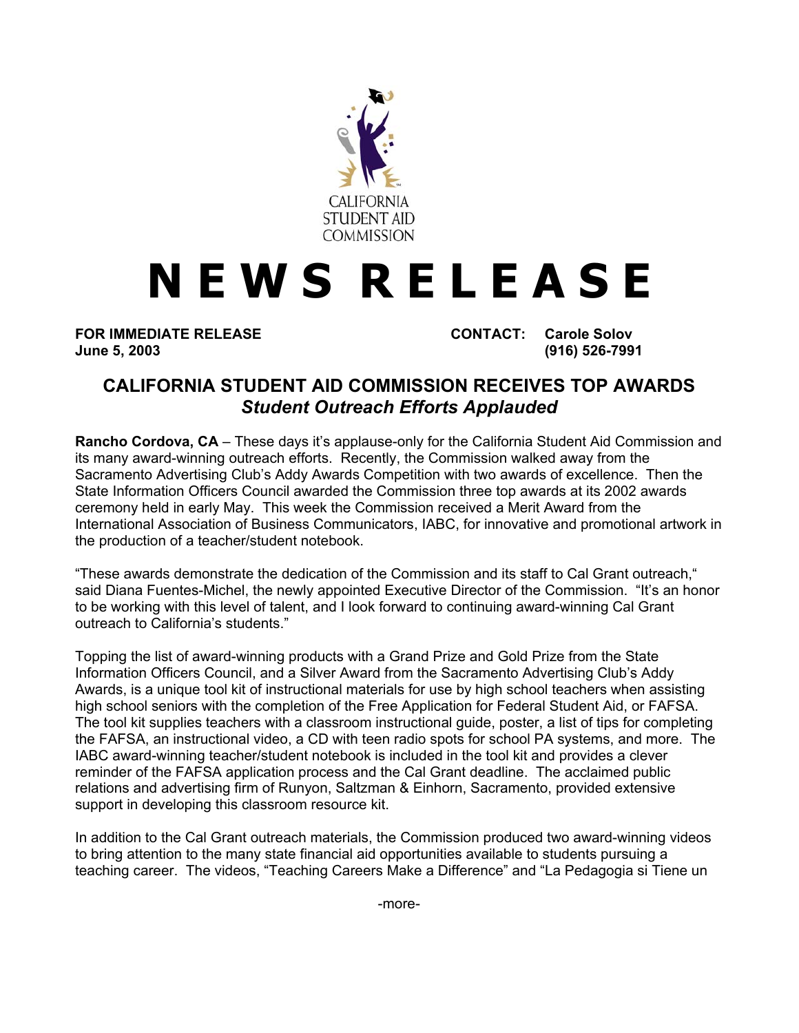

## **N E W S R E L E A S E**

**FOR IMMEDIATE RELEASE CONTACT: Carole Solov June 5, 2003 (916) 526-7991** 

## **CALIFORNIA STUDENT AID COMMISSION RECEIVES TOP AWARDS** *Student Outreach Efforts Applauded*

**Rancho Cordova, CA** – These days it's applause-only for the California Student Aid Commission and its many award-winning outreach efforts. Recently, the Commission walked away from the Sacramento Advertising Club's Addy Awards Competition with two awards of excellence. Then the State Information Officers Council awarded the Commission three top awards at its 2002 awards ceremony held in early May. This week the Commission received a Merit Award from the International Association of Business Communicators, IABC, for innovative and promotional artwork in the production of a teacher/student notebook.

"These awards demonstrate the dedication of the Commission and its staff to Cal Grant outreach," said Diana Fuentes-Michel, the newly appointed Executive Director of the Commission. "It's an honor to be working with this level of talent, and I look forward to continuing award-winning Cal Grant outreach to California's students."

Topping the list of award-winning products with a Grand Prize and Gold Prize from the State Information Officers Council, and a Silver Award from the Sacramento Advertising Club's Addy Awards, is a unique tool kit of instructional materials for use by high school teachers when assisting high school seniors with the completion of the Free Application for Federal Student Aid, or FAFSA. The tool kit supplies teachers with a classroom instructional guide, poster, a list of tips for completing the FAFSA, an instructional video, a CD with teen radio spots for school PA systems, and more. The IABC award-winning teacher/student notebook is included in the tool kit and provides a clever reminder of the FAFSA application process and the Cal Grant deadline. The acclaimed public relations and advertising firm of Runyon, Saltzman & Einhorn, Sacramento, provided extensive support in developing this classroom resource kit.

In addition to the Cal Grant outreach materials, the Commission produced two award-winning videos to bring attention to the many state financial aid opportunities available to students pursuing a teaching career. The videos, "Teaching Careers Make a Difference" and "La Pedagogia si Tiene un